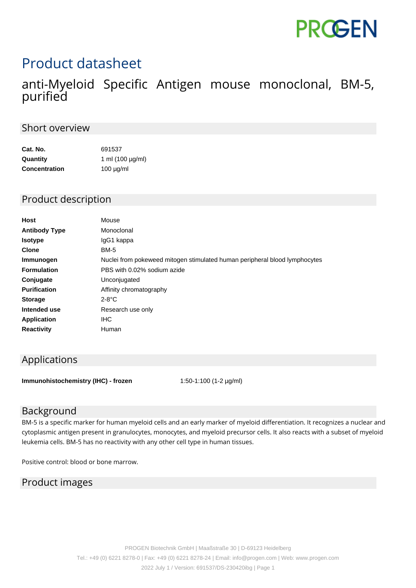# **PROGEN**

## Product datasheet

### anti-Myeloid Specific Antigen mouse monoclonal, BM-5, purified

#### Short overview

| Cat. No.             | 691537                |
|----------------------|-----------------------|
| Quantity             | 1 ml $(100 \mu g/ml)$ |
| <b>Concentration</b> | $100 \mu g/ml$        |

#### Product description

| Mouse                                                                      |
|----------------------------------------------------------------------------|
| Monoclonal                                                                 |
| IgG1 kappa                                                                 |
| <b>BM-5</b>                                                                |
| Nuclei from pokeweed mitogen stimulated human peripheral blood lymphocytes |
| PBS with 0.02% sodium azide                                                |
| Unconjugated                                                               |
| Affinity chromatography                                                    |
| $2-8$ °C                                                                   |
| Research use only                                                          |
| <b>IHC</b>                                                                 |
| Human                                                                      |
|                                                                            |

#### Applications

**Immunohistochemistry (IHC) - frozen** 1:50-1:100 (1-2 µg/ml)

#### Background

BM-5 is a specific marker for human myeloid cells and an early marker of myeloid differentiation. It recognizes a nuclear and cytoplasmic antigen present in granulocytes, monocytes, and myeloid precursor cells. It also reacts with a subset of myeloid leukemia cells. BM-5 has no reactivity with any other cell type in human tissues.

Positive control: blood or bone marrow.

#### Product images